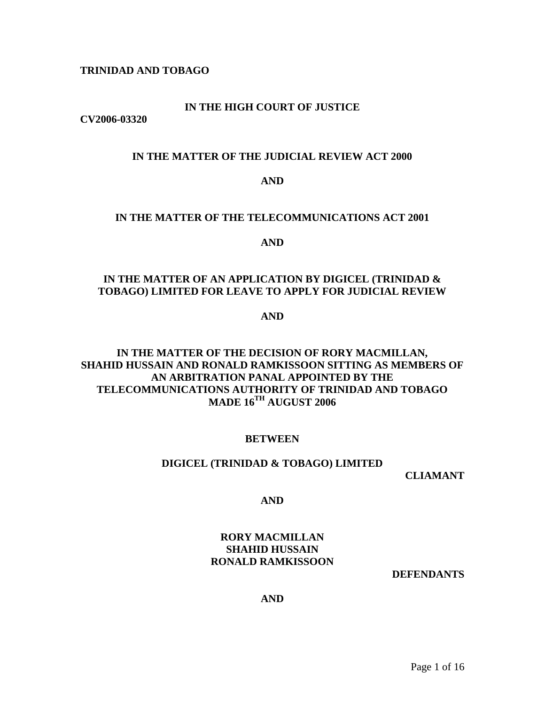## **TRINIDAD AND TOBAGO**

## **IN THE HIGH COURT OF JUSTICE**

**CV2006-03320** 

## **IN THE MATTER OF THE JUDICIAL REVIEW ACT 2000**

#### **AND**

#### **IN THE MATTER OF THE TELECOMMUNICATIONS ACT 2001**

#### **AND**

# **IN THE MATTER OF AN APPLICATION BY DIGICEL (TRINIDAD & TOBAGO) LIMITED FOR LEAVE TO APPLY FOR JUDICIAL REVIEW**

**AND** 

# **IN THE MATTER OF THE DECISION OF RORY MACMILLAN, SHAHID HUSSAIN AND RONALD RAMKISSOON SITTING AS MEMBERS OF AN ARBITRATION PANAL APPOINTED BY THE TELECOMMUNICATIONS AUTHORITY OF TRINIDAD AND TOBAGO MADE 16TH AUGUST 2006**

## **BETWEEN**

#### **DIGICEL (TRINIDAD & TOBAGO) LIMITED**

**CLIAMANT**

**AND**

# **RORY MACMILLAN SHAHID HUSSAIN RONALD RAMKISSOON**

**DEFENDANTS**

## **AND**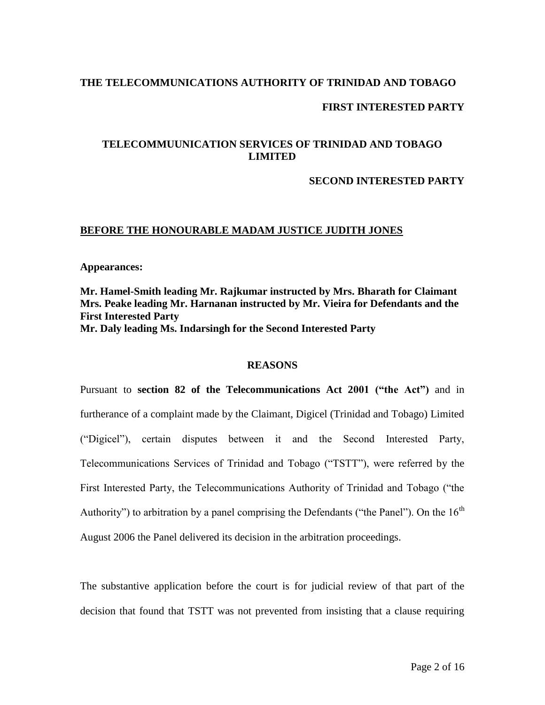## **THE TELECOMMUNICATIONS AUTHORITY OF TRINIDAD AND TOBAGO**

## **FIRST INTERESTED PARTY**

# **TELECOMMUUNICATION SERVICES OF TRINIDAD AND TOBAGO LIMITED**

## **SECOND INTERESTED PARTY**

## **BEFORE THE HONOURABLE MADAM JUSTICE JUDITH JONES**

#### **Appearances:**

## **Mr. Hamel-Smith leading Mr. Rajkumar instructed by Mrs. Bharath for Claimant Mrs. Peake leading Mr. Harnanan instructed by Mr. Vieira for Defendants and the First Interested Party Mr. Daly leading Ms. Indarsingh for the Second Interested Party**

## **REASONS**

Pursuant to **section 82 of the Telecommunications Act 2001 ("the Act")** and in furtherance of a complaint made by the Claimant, Digicel (Trinidad and Tobago) Limited ("Digicel"), certain disputes between it and the Second Interested Party, Telecommunications Services of Trinidad and Tobago ("TSTT"), were referred by the First Interested Party, the Telecommunications Authority of Trinidad and Tobago ("the Authority") to arbitration by a panel comprising the Defendants ("the Panel"). On the  $16<sup>th</sup>$ August 2006 the Panel delivered its decision in the arbitration proceedings.

The substantive application before the court is for judicial review of that part of the decision that found that TSTT was not prevented from insisting that a clause requiring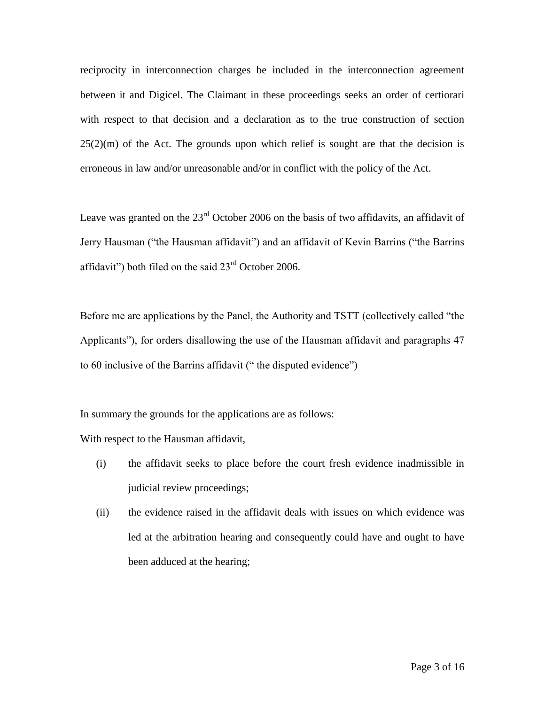reciprocity in interconnection charges be included in the interconnection agreement between it and Digicel. The Claimant in these proceedings seeks an order of certiorari with respect to that decision and a declaration as to the true construction of section  $25(2)(m)$  of the Act. The grounds upon which relief is sought are that the decision is erroneous in law and/or unreasonable and/or in conflict with the policy of the Act.

Leave was granted on the  $23<sup>rd</sup>$  October 2006 on the basis of two affidavits, an affidavit of Jerry Hausman ("the Hausman affidavit") and an affidavit of Kevin Barrins ("the Barrins affidavit") both filed on the said  $23<sup>rd</sup>$  October 2006.

Before me are applications by the Panel, the Authority and TSTT (collectively called "the Applicants"), for orders disallowing the use of the Hausman affidavit and paragraphs 47 to 60 inclusive of the Barrins affidavit (" the disputed evidence")

In summary the grounds for the applications are as follows:

With respect to the Hausman affidavit,

- (i) the affidavit seeks to place before the court fresh evidence inadmissible in judicial review proceedings;
- (ii) the evidence raised in the affidavit deals with issues on which evidence was led at the arbitration hearing and consequently could have and ought to have been adduced at the hearing;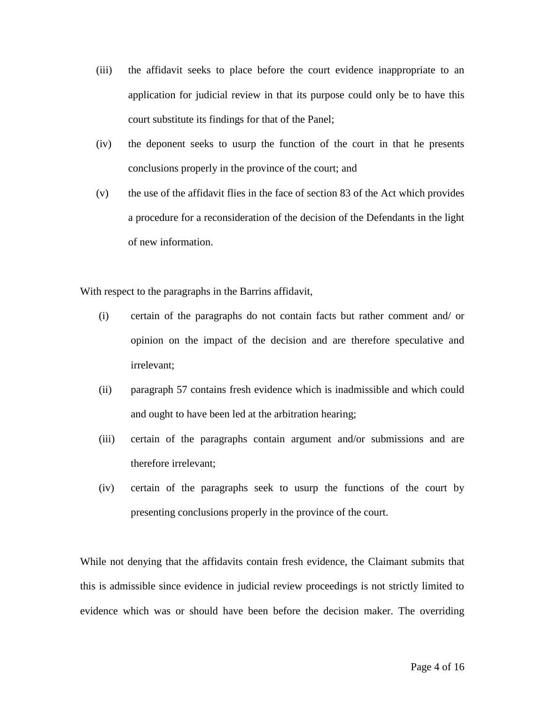- (iii) the affidavit seeks to place before the court evidence inappropriate to an application for judicial review in that its purpose could only be to have this court substitute its findings for that of the Panel;
- (iv) the deponent seeks to usurp the function of the court in that he presents conclusions properly in the province of the court; and
- (v) the use of the affidavit flies in the face of section 83 of the Act which provides a procedure for a reconsideration of the decision of the Defendants in the light of new information.

With respect to the paragraphs in the Barrins affidavit,

- (i) certain of the paragraphs do not contain facts but rather comment and/ or opinion on the impact of the decision and are therefore speculative and irrelevant;
- (ii) paragraph 57 contains fresh evidence which is inadmissible and which could and ought to have been led at the arbitration hearing;
- (iii) certain of the paragraphs contain argument and/or submissions and are therefore irrelevant;
- (iv) certain of the paragraphs seek to usurp the functions of the court by presenting conclusions properly in the province of the court.

While not denying that the affidavits contain fresh evidence, the Claimant submits that this is admissible since evidence in judicial review proceedings is not strictly limited to evidence which was or should have been before the decision maker. The overriding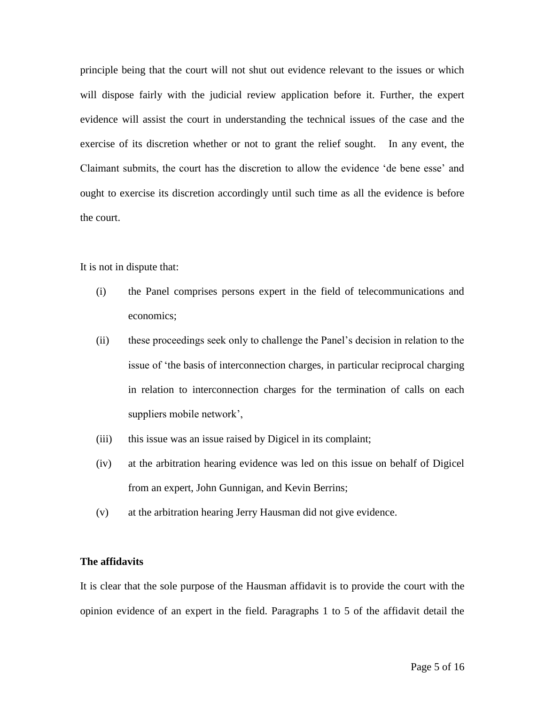principle being that the court will not shut out evidence relevant to the issues or which will dispose fairly with the judicial review application before it. Further, the expert evidence will assist the court in understanding the technical issues of the case and the exercise of its discretion whether or not to grant the relief sought. In any event, the Claimant submits, the court has the discretion to allow the evidence 'de bene esse' and ought to exercise its discretion accordingly until such time as all the evidence is before the court.

It is not in dispute that:

- (i) the Panel comprises persons expert in the field of telecommunications and economics;
- (ii) these proceedings seek only to challenge the Panel's decision in relation to the issue of 'the basis of interconnection charges, in particular reciprocal charging in relation to interconnection charges for the termination of calls on each suppliers mobile network',
- (iii) this issue was an issue raised by Digicel in its complaint;
- (iv) at the arbitration hearing evidence was led on this issue on behalf of Digicel from an expert, John Gunnigan, and Kevin Berrins;
- (v) at the arbitration hearing Jerry Hausman did not give evidence.

## **The affidavits**

It is clear that the sole purpose of the Hausman affidavit is to provide the court with the opinion evidence of an expert in the field. Paragraphs 1 to 5 of the affidavit detail the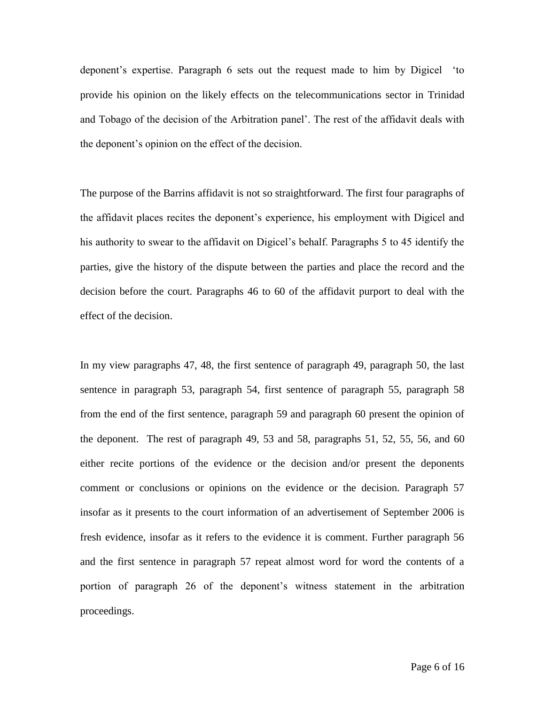deponent's expertise. Paragraph 6 sets out the request made to him by Digicel 'to provide his opinion on the likely effects on the telecommunications sector in Trinidad and Tobago of the decision of the Arbitration panel'. The rest of the affidavit deals with the deponent's opinion on the effect of the decision.

The purpose of the Barrins affidavit is not so straightforward. The first four paragraphs of the affidavit places recites the deponent's experience, his employment with Digicel and his authority to swear to the affidavit on Digicel's behalf. Paragraphs 5 to 45 identify the parties, give the history of the dispute between the parties and place the record and the decision before the court. Paragraphs 46 to 60 of the affidavit purport to deal with the effect of the decision.

In my view paragraphs 47, 48, the first sentence of paragraph 49, paragraph 50, the last sentence in paragraph 53, paragraph 54, first sentence of paragraph 55, paragraph 58 from the end of the first sentence, paragraph 59 and paragraph 60 present the opinion of the deponent. The rest of paragraph 49, 53 and 58, paragraphs 51, 52, 55, 56, and 60 either recite portions of the evidence or the decision and/or present the deponents comment or conclusions or opinions on the evidence or the decision. Paragraph 57 insofar as it presents to the court information of an advertisement of September 2006 is fresh evidence, insofar as it refers to the evidence it is comment. Further paragraph 56 and the first sentence in paragraph 57 repeat almost word for word the contents of a portion of paragraph 26 of the deponent's witness statement in the arbitration proceedings.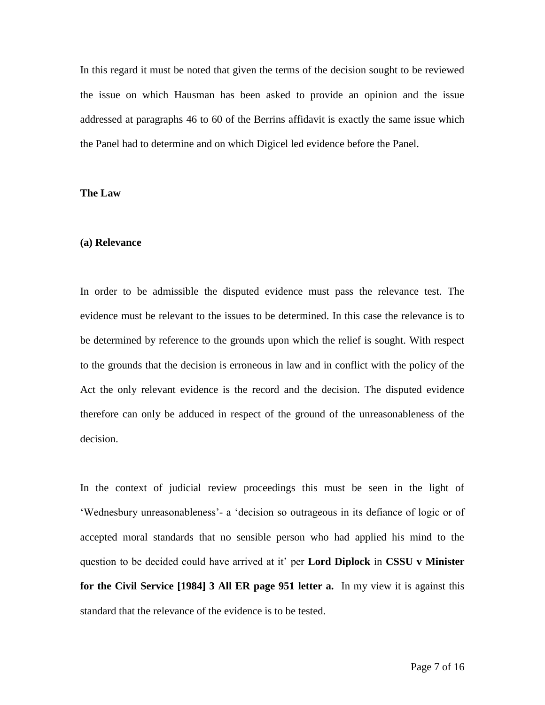In this regard it must be noted that given the terms of the decision sought to be reviewed the issue on which Hausman has been asked to provide an opinion and the issue addressed at paragraphs 46 to 60 of the Berrins affidavit is exactly the same issue which the Panel had to determine and on which Digicel led evidence before the Panel.

#### **The Law**

#### **(a) Relevance**

In order to be admissible the disputed evidence must pass the relevance test. The evidence must be relevant to the issues to be determined. In this case the relevance is to be determined by reference to the grounds upon which the relief is sought. With respect to the grounds that the decision is erroneous in law and in conflict with the policy of the Act the only relevant evidence is the record and the decision. The disputed evidence therefore can only be adduced in respect of the ground of the unreasonableness of the decision.

In the context of judicial review proceedings this must be seen in the light of 'Wednesbury unreasonableness'- a 'decision so outrageous in its defiance of logic or of accepted moral standards that no sensible person who had applied his mind to the question to be decided could have arrived at it' per **Lord Diplock** in **CSSU v Minister for the Civil Service [1984] 3 All ER page 951 letter a.** In my view it is against this standard that the relevance of the evidence is to be tested.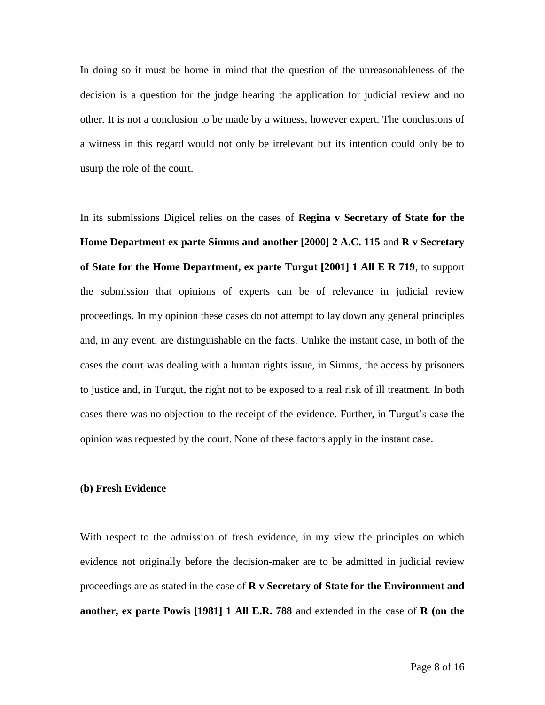In doing so it must be borne in mind that the question of the unreasonableness of the decision is a question for the judge hearing the application for judicial review and no other. It is not a conclusion to be made by a witness, however expert. The conclusions of a witness in this regard would not only be irrelevant but its intention could only be to usurp the role of the court.

In its submissions Digicel relies on the cases of **Regina v Secretary of State for the Home Department ex parte Simms and another [2000] 2 A.C. 115** and **R v Secretary of State for the Home Department, ex parte Turgut [2001] 1 All E R 719**, to support the submission that opinions of experts can be of relevance in judicial review proceedings. In my opinion these cases do not attempt to lay down any general principles and, in any event, are distinguishable on the facts. Unlike the instant case, in both of the cases the court was dealing with a human rights issue, in Simms, the access by prisoners to justice and, in Turgut, the right not to be exposed to a real risk of ill treatment. In both cases there was no objection to the receipt of the evidence. Further, in Turgut's case the opinion was requested by the court. None of these factors apply in the instant case.

#### **(b) Fresh Evidence**

With respect to the admission of fresh evidence, in my view the principles on which evidence not originally before the decision-maker are to be admitted in judicial review proceedings are as stated in the case of **R v Secretary of State for the Environment and another, ex parte Powis [1981] 1 All E.R. 788** and extended in the case of **R (on the**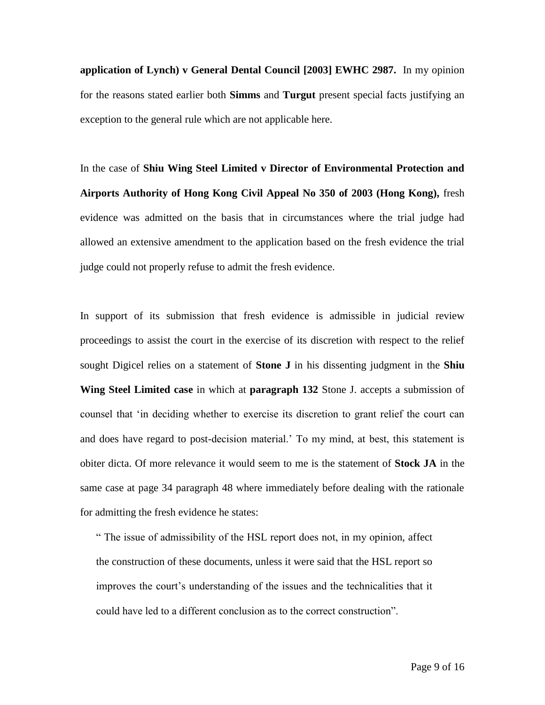**application of Lynch) v General Dental Council [2003] EWHC 2987.** In my opinion for the reasons stated earlier both **Simms** and **Turgut** present special facts justifying an exception to the general rule which are not applicable here.

In the case of **Shiu Wing Steel Limited v Director of Environmental Protection and Airports Authority of Hong Kong Civil Appeal No 350 of 2003 (Hong Kong),** fresh evidence was admitted on the basis that in circumstances where the trial judge had allowed an extensive amendment to the application based on the fresh evidence the trial judge could not properly refuse to admit the fresh evidence.

In support of its submission that fresh evidence is admissible in judicial review proceedings to assist the court in the exercise of its discretion with respect to the relief sought Digicel relies on a statement of **Stone J** in his dissenting judgment in the **Shiu Wing Steel Limited case** in which at **paragraph 132** Stone J. accepts a submission of counsel that 'in deciding whether to exercise its discretion to grant relief the court can and does have regard to post-decision material.' To my mind, at best, this statement is obiter dicta. Of more relevance it would seem to me is the statement of **Stock JA** in the same case at page 34 paragraph 48 where immediately before dealing with the rationale for admitting the fresh evidence he states:

" The issue of admissibility of the HSL report does not, in my opinion, affect the construction of these documents, unless it were said that the HSL report so improves the court's understanding of the issues and the technicalities that it could have led to a different conclusion as to the correct construction".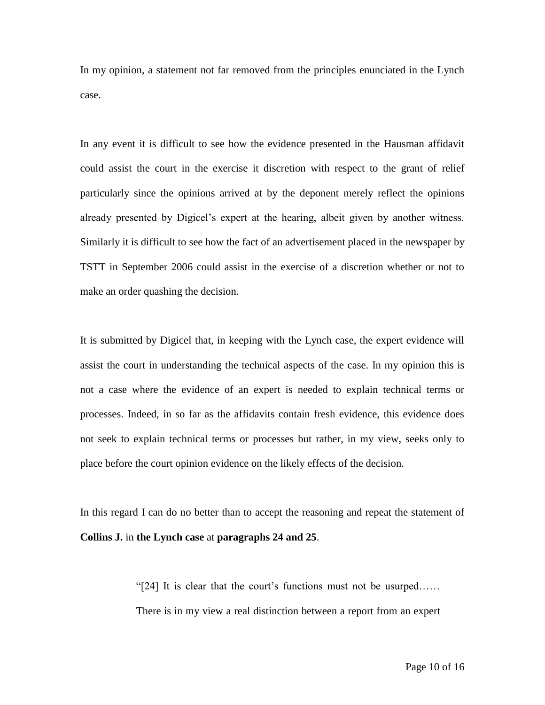In my opinion, a statement not far removed from the principles enunciated in the Lynch case.

In any event it is difficult to see how the evidence presented in the Hausman affidavit could assist the court in the exercise it discretion with respect to the grant of relief particularly since the opinions arrived at by the deponent merely reflect the opinions already presented by Digicel's expert at the hearing, albeit given by another witness. Similarly it is difficult to see how the fact of an advertisement placed in the newspaper by TSTT in September 2006 could assist in the exercise of a discretion whether or not to make an order quashing the decision.

It is submitted by Digicel that, in keeping with the Lynch case, the expert evidence will assist the court in understanding the technical aspects of the case. In my opinion this is not a case where the evidence of an expert is needed to explain technical terms or processes. Indeed, in so far as the affidavits contain fresh evidence, this evidence does not seek to explain technical terms or processes but rather, in my view, seeks only to place before the court opinion evidence on the likely effects of the decision.

In this regard I can do no better than to accept the reasoning and repeat the statement of **Collins J.** in **the Lynch case** at **paragraphs 24 and 25**.

> "[24] It is clear that the court's functions must not be usurped…… There is in my view a real distinction between a report from an expert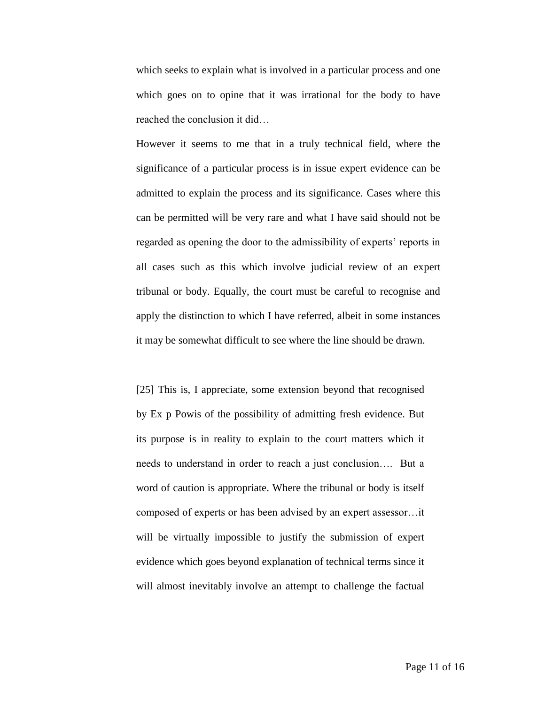which seeks to explain what is involved in a particular process and one which goes on to opine that it was irrational for the body to have reached the conclusion it did…

However it seems to me that in a truly technical field, where the significance of a particular process is in issue expert evidence can be admitted to explain the process and its significance. Cases where this can be permitted will be very rare and what I have said should not be regarded as opening the door to the admissibility of experts' reports in all cases such as this which involve judicial review of an expert tribunal or body. Equally, the court must be careful to recognise and apply the distinction to which I have referred, albeit in some instances it may be somewhat difficult to see where the line should be drawn.

[25] This is, I appreciate, some extension beyond that recognised by Ex p Powis of the possibility of admitting fresh evidence. But its purpose is in reality to explain to the court matters which it needs to understand in order to reach a just conclusion…. But a word of caution is appropriate. Where the tribunal or body is itself composed of experts or has been advised by an expert assessor…it will be virtually impossible to justify the submission of expert evidence which goes beyond explanation of technical terms since it will almost inevitably involve an attempt to challenge the factual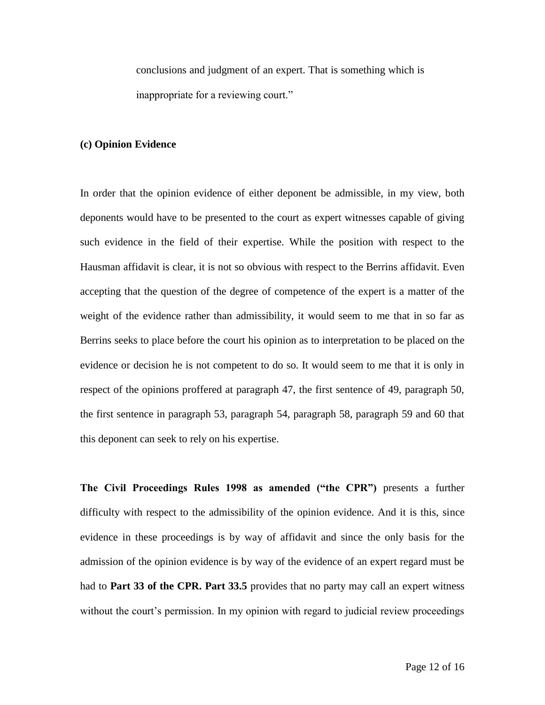conclusions and judgment of an expert. That is something which is inappropriate for a reviewing court."

## **(c) Opinion Evidence**

In order that the opinion evidence of either deponent be admissible, in my view, both deponents would have to be presented to the court as expert witnesses capable of giving such evidence in the field of their expertise. While the position with respect to the Hausman affidavit is clear, it is not so obvious with respect to the Berrins affidavit. Even accepting that the question of the degree of competence of the expert is a matter of the weight of the evidence rather than admissibility, it would seem to me that in so far as Berrins seeks to place before the court his opinion as to interpretation to be placed on the evidence or decision he is not competent to do so. It would seem to me that it is only in respect of the opinions proffered at paragraph 47, the first sentence of 49, paragraph 50, the first sentence in paragraph 53, paragraph 54, paragraph 58, paragraph 59 and 60 that this deponent can seek to rely on his expertise.

**The Civil Proceedings Rules 1998 as amended ("the CPR")** presents a further difficulty with respect to the admissibility of the opinion evidence. And it is this, since evidence in these proceedings is by way of affidavit and since the only basis for the admission of the opinion evidence is by way of the evidence of an expert regard must be had to **Part 33 of the CPR. Part 33.5** provides that no party may call an expert witness without the court's permission. In my opinion with regard to judicial review proceedings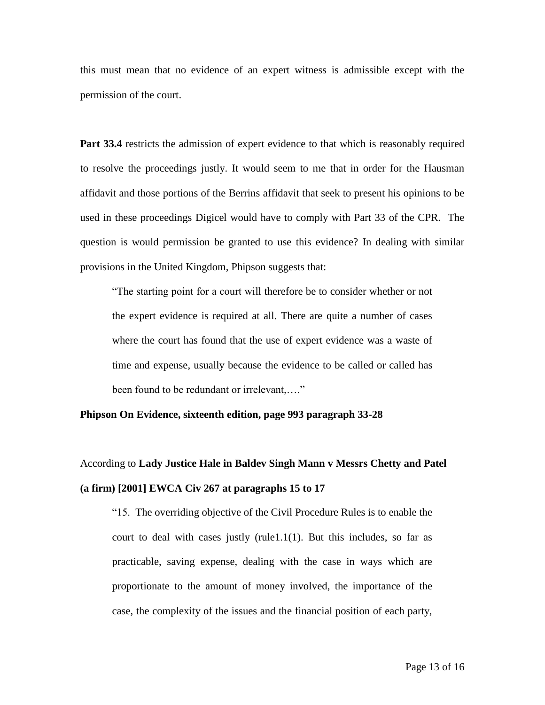this must mean that no evidence of an expert witness is admissible except with the permission of the court.

Part 33.4 restricts the admission of expert evidence to that which is reasonably required to resolve the proceedings justly. It would seem to me that in order for the Hausman affidavit and those portions of the Berrins affidavit that seek to present his opinions to be used in these proceedings Digicel would have to comply with Part 33 of the CPR. The question is would permission be granted to use this evidence? In dealing with similar provisions in the United Kingdom, Phipson suggests that:

"The starting point for a court will therefore be to consider whether or not the expert evidence is required at all. There are quite a number of cases where the court has found that the use of expert evidence was a waste of time and expense, usually because the evidence to be called or called has been found to be redundant or irrelevant,…."

## **Phipson On Evidence, sixteenth edition, page 993 paragraph 33-28**

# According to **Lady Justice Hale in Baldev Singh Mann v Messrs Chetty and Patel (a firm) [2001] EWCA Civ 267 at paragraphs 15 to 17**

"15. The overriding objective of the Civil Procedure Rules is to enable the court to deal with cases justly (rule1.1 $(1)$ ). But this includes, so far as practicable, saving expense, dealing with the case in ways which are proportionate to the amount of money involved, the importance of the case, the complexity of the issues and the financial position of each party,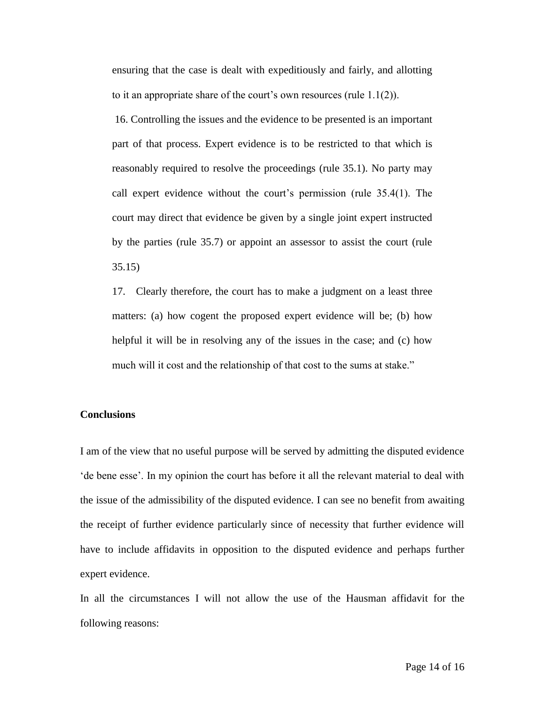ensuring that the case is dealt with expeditiously and fairly, and allotting to it an appropriate share of the court's own resources (rule 1.1(2)).

16. Controlling the issues and the evidence to be presented is an important part of that process. Expert evidence is to be restricted to that which is reasonably required to resolve the proceedings (rule 35.1). No party may call expert evidence without the court's permission (rule 35.4(1). The court may direct that evidence be given by a single joint expert instructed by the parties (rule 35.7) or appoint an assessor to assist the court (rule 35.15)

17. Clearly therefore, the court has to make a judgment on a least three matters: (a) how cogent the proposed expert evidence will be; (b) how helpful it will be in resolving any of the issues in the case; and (c) how much will it cost and the relationship of that cost to the sums at stake."

#### **Conclusions**

I am of the view that no useful purpose will be served by admitting the disputed evidence 'de bene esse'. In my opinion the court has before it all the relevant material to deal with the issue of the admissibility of the disputed evidence. I can see no benefit from awaiting the receipt of further evidence particularly since of necessity that further evidence will have to include affidavits in opposition to the disputed evidence and perhaps further expert evidence.

In all the circumstances I will not allow the use of the Hausman affidavit for the following reasons: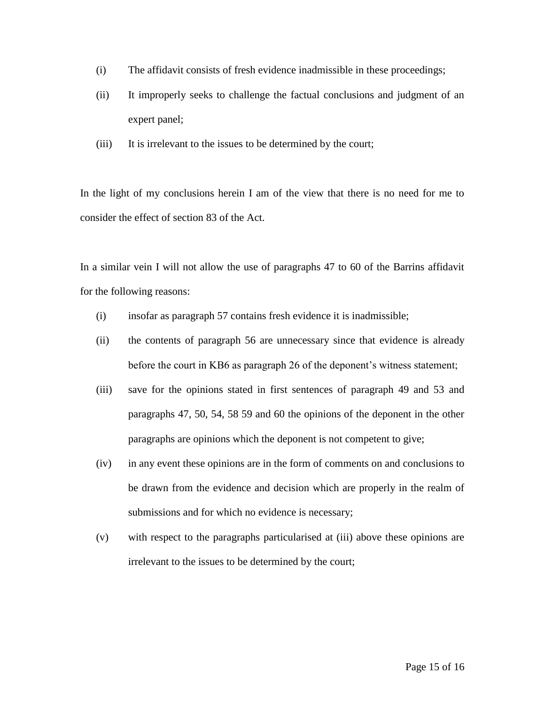- (i) The affidavit consists of fresh evidence inadmissible in these proceedings;
- (ii) It improperly seeks to challenge the factual conclusions and judgment of an expert panel;
- (iii) It is irrelevant to the issues to be determined by the court;

In the light of my conclusions herein I am of the view that there is no need for me to consider the effect of section 83 of the Act.

In a similar vein I will not allow the use of paragraphs 47 to 60 of the Barrins affidavit for the following reasons:

- (i) insofar as paragraph 57 contains fresh evidence it is inadmissible;
- (ii) the contents of paragraph 56 are unnecessary since that evidence is already before the court in KB6 as paragraph 26 of the deponent's witness statement;
- (iii) save for the opinions stated in first sentences of paragraph 49 and 53 and paragraphs 47, 50, 54, 58 59 and 60 the opinions of the deponent in the other paragraphs are opinions which the deponent is not competent to give;
- (iv) in any event these opinions are in the form of comments on and conclusions to be drawn from the evidence and decision which are properly in the realm of submissions and for which no evidence is necessary;
- (v) with respect to the paragraphs particularised at (iii) above these opinions are irrelevant to the issues to be determined by the court;